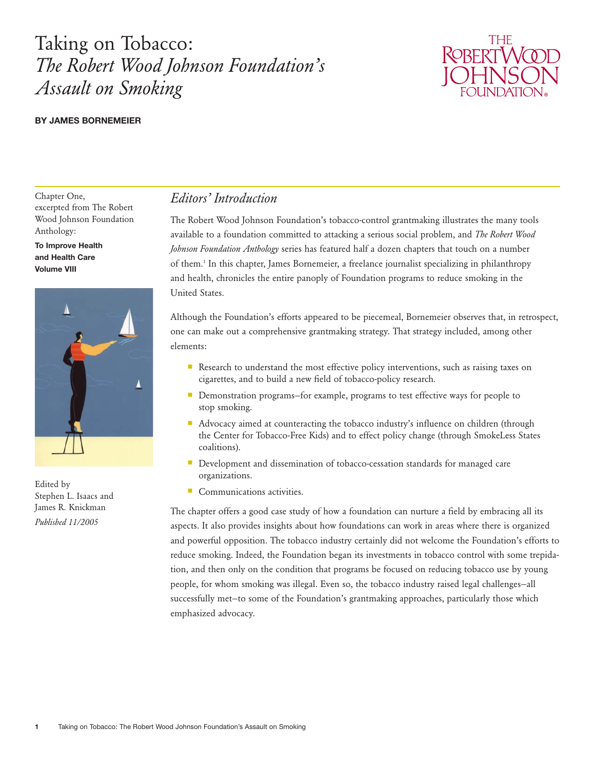# Taking on Tobacco: *The Robert Wood Johnson Foundation's Assault on Smoking*



## **BY JAMES BORNEMEIER**

Chapter One, excerpted from The Robert Wood Johnson Foundation Anthology:

**To Improve Health and Health Care Volume VIII** 



Edited by Stephen L. Isaacs and James R. Knickman *Published 11/2005*

# *Editors' Introduction*

The Robert Wood Johnson Foundation's tobacco-control grantmaking illustrates the many tools available to a foundation committed to attacking a serious social problem, and *The Robert Wood Johnson Foundation Anthology* series has featured half a dozen chapters that touch on a number of them.1 In this chapter, James Bornemeier, a freelance journalist specializing in philanthropy and health, chronicles the entire panoply of Foundation programs to reduce smoking in the United States.

Although the Foundation's efforts appeared to be piecemeal, Bornemeier observes that, in retrospect, one can make out a comprehensive grantmaking strategy. That strategy included, among other elements:

- Research to understand the most effective policy interventions, such as raising taxes on cigarettes, and to build a new field of tobacco-policy research.
- Demonstration programs–for example, programs to test effective ways for people to stop smoking.
- Advocacy aimed at counteracting the tobacco industry's influence on children (through the Center for Tobacco-Free Kids) and to effect policy change (through SmokeLess States coalitions).
- Development and dissemination of tobacco-cessation standards for managed care organizations.
- Communications activities.

The chapter offers a good case study of how a foundation can nurture a field by embracing all its aspects. It also provides insights about how foundations can work in areas where there is organized and powerful opposition. The tobacco industry certainly did not welcome the Foundation's efforts to reduce smoking. Indeed, the Foundation began its investments in tobacco control with some trepidation, and then only on the condition that programs be focused on reducing tobacco use by young people, for whom smoking was illegal. Even so, the tobacco industry raised legal challenges—all successfully met—to some of the Foundation's grantmaking approaches, particularly those which emphasized advocacy.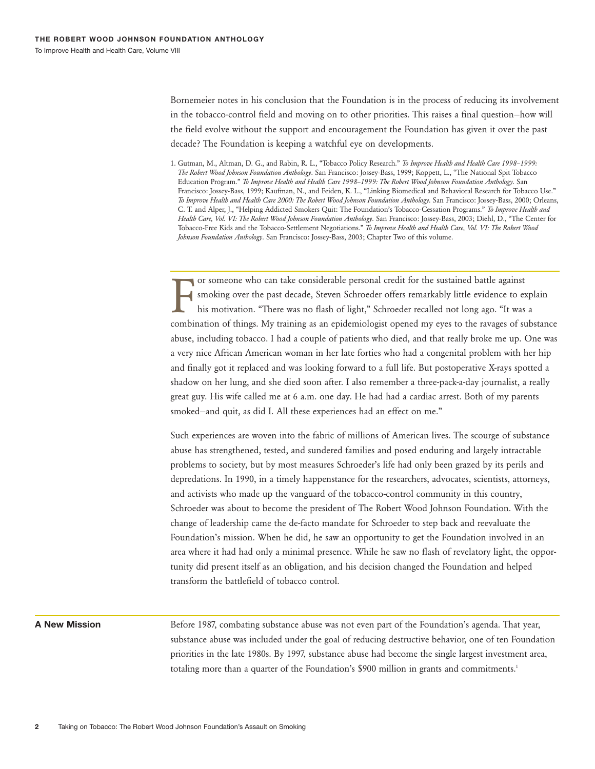Bornemeier notes in his conclusion that the Foundation is in the process of reducing its involvement in the tobacco-control field and moving on to other priorities. This raises a final question—how will the field evolve without the support and encouragement the Foundation has given it over the past decade? The Foundation is keeping a watchful eye on developments.

1. Gutman, M., Altman, D. G., and Rabin, R. L., "Tobacco Policy Research." *To Improve Health and Health Care 1998–1999: The Robert Wood Johnson Foundation Anthology*. San Francisco: Jossey-Bass, 1999; Koppett, L., "The National Spit Tobacco Education Program." *To Improve Health and Health Care 1998–1999: The Robert Wood Johnson Foundation Anthology*. San Francisco: Jossey-Bass, 1999; Kaufman, N., and Feiden, K. L., "Linking Biomedical and Behavioral Research for Tobacco Use." *To Improve Health and Health Care 2000: The Robert Wood Johnson Foundation Anthology*. San Francisco: Jossey-Bass, 2000; Orleans, C. T. and Alper, J., "Helping Addicted Smokers Quit: The Foundation's Tobacco-Cessation Programs." *To Improve Health and Health Care, Vol. VI: The Robert Wood Johnson Foundation Anthology*. San Francisco: Jossey-Bass, 2003; Diehl, D., "The Center for Tobacco-Free Kids and the Tobacco-Settlement Negotiations." *To Improve Health and Health Care, Vol. VI: The Robert Wood Johnson Foundation Anthology*. San Francisco: Jossey-Bass, 2003; Chapter Two of this volume.

For someone who can take considerable personal credit for the sustained battle against<br>smoking over the past decade, Steven Schroeder offers remarkably little evidence to explain<br>his motivation. "There was no flash of ligh or someone who can take considerable personal credit for the sustained battle against smoking over the past decade, Steven Schroeder offers remarkably little evidence to explain his motivation. "There was no flash of light," Schroeder recalled not long ago. "It was a abuse, including tobacco. I had a couple of patients who died, and that really broke me up. One was a very nice African American woman in her late forties who had a congenital problem with her hip and finally got it replaced and was looking forward to a full life. But postoperative X-rays spotted a shadow on her lung, and she died soon after. I also remember a three-pack-a-day journalist, a really great guy. His wife called me at 6 a.m. one day. He had had a cardiac arrest. Both of my parents smoked—and quit, as did I. All these experiences had an effect on me."

Such experiences are woven into the fabric of millions of American lives. The scourge of substance abuse has strengthened, tested, and sundered families and posed enduring and largely intractable problems to society, but by most measures Schroeder's life had only been grazed by its perils and depredations. In 1990, in a timely happenstance for the researchers, advocates, scientists, attorneys, and activists who made up the vanguard of the tobacco-control community in this country, Schroeder was about to become the president of The Robert Wood Johnson Foundation. With the change of leadership came the de-facto mandate for Schroeder to step back and reevaluate the Foundation's mission. When he did, he saw an opportunity to get the Foundation involved in an area where it had had only a minimal presence. While he saw no flash of revelatory light, the opportunity did present itself as an obligation, and his decision changed the Foundation and helped transform the battlefield of tobacco control.

#### **A New Mission**

Before 1987, combating substance abuse was not even part of the Foundation's agenda. That year, substance abuse was included under the goal of reducing destructive behavior, one of ten Foundation priorities in the late 1980s. By 1997, substance abuse had become the single largest investment area, totaling more than a quarter of the Foundation's \$900 million in grants and commitments.<sup>1</sup>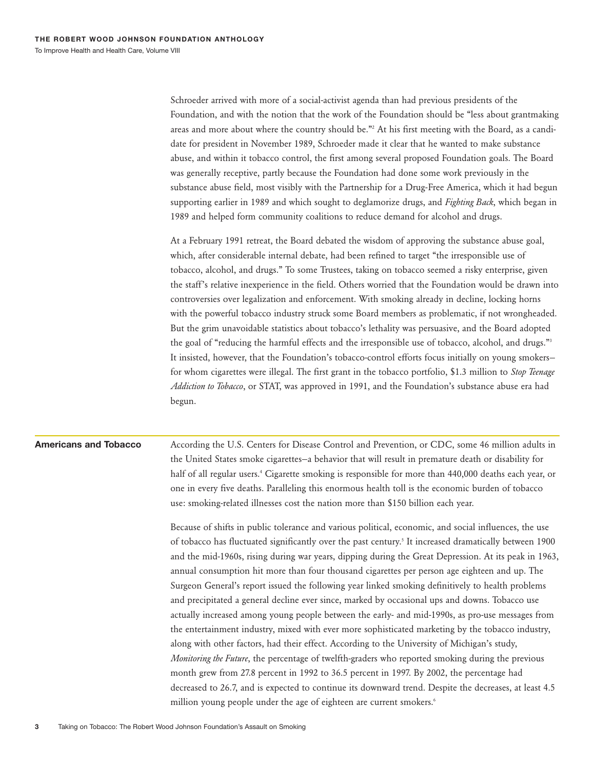Schroeder arrived with more of a social-activist agenda than had previous presidents of the Foundation, and with the notion that the work of the Foundation should be "less about grantmaking areas and more about where the country should be."<sup>2</sup> At his first meeting with the Board, as a candidate for president in November 1989, Schroeder made it clear that he wanted to make substance abuse, and within it tobacco control, the first among several proposed Foundation goals. The Board was generally receptive, partly because the Foundation had done some work previously in the substance abuse field, most visibly with the Partnership for a Drug-Free America, which it had begun supporting earlier in 1989 and which sought to deglamorize drugs, and *Fighting Back*, which began in 1989 and helped form community coalitions to reduce demand for alcohol and drugs.

At a February 1991 retreat, the Board debated the wisdom of approving the substance abuse goal, which, after considerable internal debate, had been refined to target "the irresponsible use of tobacco, alcohol, and drugs." To some Trustees, taking on tobacco seemed a risky enterprise, given the staff's relative inexperience in the field. Others worried that the Foundation would be drawn into controversies over legalization and enforcement. With smoking already in decline, locking horns with the powerful tobacco industry struck some Board members as problematic, if not wrongheaded. But the grim unavoidable statistics about tobacco's lethality was persuasive, and the Board adopted the goal of "reducing the harmful effects and the irresponsible use of tobacco, alcohol, and drugs."3 It insisted, however, that the Foundation's tobacco-control efforts focus initially on young smokers for whom cigarettes were illegal. The first grant in the tobacco portfolio, \$1.3 million to *Stop Teenage Addiction to Tobacco*, or STAT, was approved in 1991, and the Foundation's substance abuse era had begun.

## **Americans and Tobacco**

According the U.S. Centers for Disease Control and Prevention, or CDC, some 46 million adults in the United States smoke cigarettes—a behavior that will result in premature death or disability for half of all regular users.<sup>4</sup> Cigarette smoking is responsible for more than 440,000 deaths each year, or one in every five deaths. Paralleling this enormous health toll is the economic burden of tobacco use: smoking-related illnesses cost the nation more than \$150 billion each year.

Because of shifts in public tolerance and various political, economic, and social influences, the use of tobacco has fluctuated significantly over the past century.5 It increased dramatically between 1900 and the mid-1960s, rising during war years, dipping during the Great Depression. At its peak in 1963, annual consumption hit more than four thousand cigarettes per person age eighteen and up. The Surgeon General's report issued the following year linked smoking definitively to health problems and precipitated a general decline ever since, marked by occasional ups and downs. Tobacco use actually increased among young people between the early- and mid-1990s, as pro-use messages from the entertainment industry, mixed with ever more sophisticated marketing by the tobacco industry, along with other factors, had their effect. According to the University of Michigan's study, *Monitoring the Future*, the percentage of twelfth-graders who reported smoking during the previous month grew from 27.8 percent in 1992 to 36.5 percent in 1997. By 2002, the percentage had decreased to 26.7, and is expected to continue its downward trend. Despite the decreases, at least 4.5 million young people under the age of eighteen are current smokers.<sup>6</sup>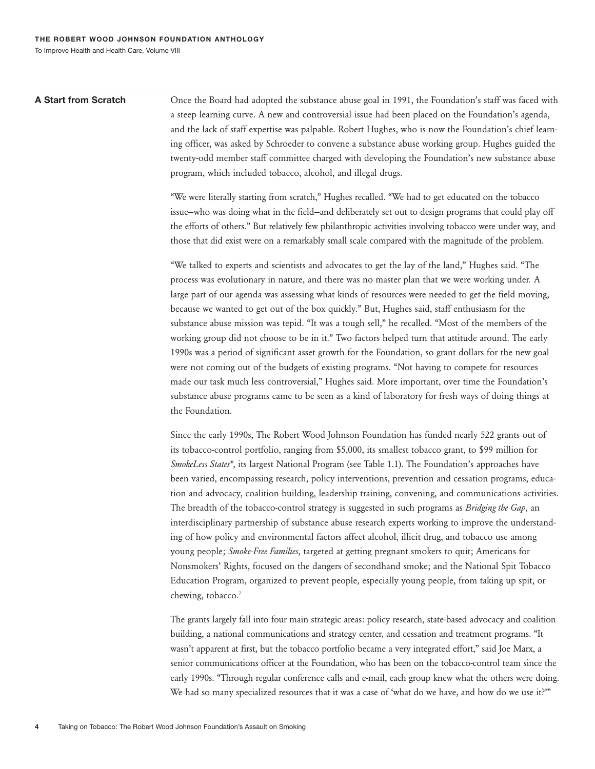#### **A Start from Scratch**

Once the Board had adopted the substance abuse goal in 1991, the Foundation's staff was faced with a steep learning curve. A new and controversial issue had been placed on the Foundation's agenda, and the lack of staff expertise was palpable. Robert Hughes, who is now the Foundation's chief learning officer, was asked by Schroeder to convene a substance abuse working group. Hughes guided the twenty-odd member staff committee charged with developing the Foundation's new substance abuse program, which included tobacco, alcohol, and illegal drugs.

"We were literally starting from scratch," Hughes recalled. "We had to get educated on the tobacco issue—who was doing what in the field—and deliberately set out to design programs that could play off the efforts of others." But relatively few philanthropic activities involving tobacco were under way, and those that did exist were on a remarkably small scale compared with the magnitude of the problem.

"We talked to experts and scientists and advocates to get the lay of the land," Hughes said. "The process was evolutionary in nature, and there was no master plan that we were working under. A large part of our agenda was assessing what kinds of resources were needed to get the field moving, because we wanted to get out of the box quickly." But, Hughes said, staff enthusiasm for the substance abuse mission was tepid. "It was a tough sell," he recalled. "Most of the members of the working group did not choose to be in it." Two factors helped turn that attitude around. The early 1990s was a period of significant asset growth for the Foundation, so grant dollars for the new goal were not coming out of the budgets of existing programs. "Not having to compete for resources made our task much less controversial," Hughes said. More important, over time the Foundation's substance abuse programs came to be seen as a kind of laboratory for fresh ways of doing things at the Foundation.

Since the early 1990s, The Robert Wood Johnson Foundation has funded nearly 522 grants out of its tobacco-control portfolio, ranging from \$5,000, its smallest tobacco grant, to \$99 million for *SmokeLess States®* , its largest National Program (see Table 1.1). The Foundation's approaches have been varied, encompassing research, policy interventions, prevention and cessation programs, education and advocacy, coalition building, leadership training, convening, and communications activities. The breadth of the tobacco-control strategy is suggested in such programs as *Bridging the Gap*, an interdisciplinary partnership of substance abuse research experts working to improve the understanding of how policy and environmental factors affect alcohol, illicit drug, and tobacco use among young people; *Smoke-Free Families*, targeted at getting pregnant smokers to quit; Americans for Nonsmokers' Rights, focused on the dangers of secondhand smoke; and the National Spit Tobacco Education Program, organized to prevent people, especially young people, from taking up spit, or chewing, tobacco.<sup>7</sup>

The grants largely fall into four main strategic areas: policy research, state-based advocacy and coalition building, a national communications and strategy center, and cessation and treatment programs. "It wasn't apparent at first, but the tobacco portfolio became a very integrated effort," said Joe Marx, a senior communications officer at the Foundation, who has been on the tobacco-control team since the early 1990s. "Through regular conference calls and e-mail, each group knew what the others were doing. We had so many specialized resources that it was a case of 'what do we have, and how do we use it?'"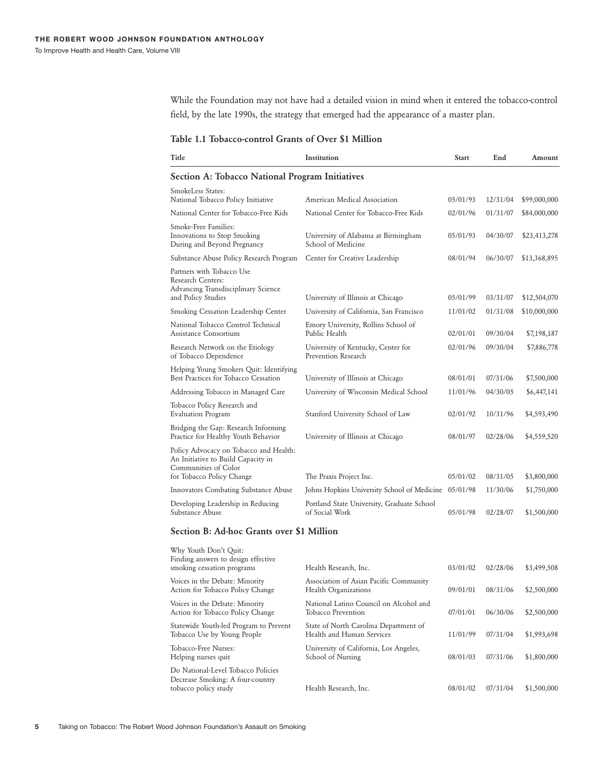While the Foundation may not have had a detailed vision in mind when it entered the tobacco-control field, by the late 1990s, the strategy that emerged had the appearance of a master plan.

#### **Table 1.1 Tobacco-control Grants of Over \$1 Million**

| Title                                                                                                       | Institution                                                        | <b>Start</b> | End      | Amount                     |  |  |
|-------------------------------------------------------------------------------------------------------------|--------------------------------------------------------------------|--------------|----------|----------------------------|--|--|
| Section A: Tobacco National Program Initiatives                                                             |                                                                    |              |          |                            |  |  |
| SmokeLess States:<br>National Tobacco Policy Initiative                                                     | American Medical Association                                       | 05/01/93     | 12/31/04 | \$99,000,000               |  |  |
| National Center for Tobacco-Free Kids                                                                       | National Center for Tobacco-Free Kids                              | 02/01/96     | 01/31/07 | \$84,000,000               |  |  |
| Smoke-Free Families:<br>Innovations to Stop Smoking<br>During and Beyond Pregnancy                          | University of Alabama at Birmingham<br>School of Medicine          | 05/01/93     | 04/30/07 | \$23,413,278               |  |  |
| Substance Abuse Policy Research Program                                                                     | Center for Creative Leadership                                     | 08/01/94     | 06/30/07 | \$13,368,895               |  |  |
| Partners with Tobacco Use<br>Research Centers:<br>Advancing Transdisciplinary Science<br>and Policy Studies | University of Illinois at Chicago                                  | 05/01/99     | 03/31/07 | \$12,504,070               |  |  |
| Smoking Cessation Leadership Center                                                                         | University of California, San Francisco                            | 11/01/02     | 01/31/08 | \$10,000,000               |  |  |
| National Tobacco Control Technical<br>Assistance Consortium                                                 | Emory University, Rollins School of<br>Public Health               | 02/01/01     | 09/30/04 | \$7,198,187                |  |  |
| Research Network on the Etiology<br>of Tobacco Dependence                                                   | University of Kentucky, Center for<br>Prevention Research          | 02/01/96     | 09/30/04 | \$7,886,778                |  |  |
| Helping Young Smokers Quit: Identifying<br>Best Practices for Tobacco Cessation                             | University of Illinois at Chicago                                  | 08/01/01     | 07/31/06 | \$7,500,000                |  |  |
| Addressing Tobacco in Managed Care                                                                          | University of Wisconsin Medical School                             | 11/01/96     | 04/30/05 | \$6,447,141                |  |  |
| Tobacco Policy Research and<br>Evaluation Program                                                           | Stanford University School of Law                                  | 02/01/92     | 10/31/96 | \$4,593,490                |  |  |
| Bridging the Gap: Research Informing<br>Practice for Healthy Youth Behavior                                 | University of Illinois at Chicago                                  | 08/01/97     | 02/28/06 | \$4,559,520                |  |  |
| Policy Advocacy on Tobacco and Health:<br>An Initiative to Build Capacity in<br>Communities of Color        | The Praxis Project Inc.                                            | 05/01/02     | 08/31/05 |                            |  |  |
| for Tobacco Policy Change<br>Innovators Combating Substance Abuse                                           | Johns Hopkins University School of Medicine 05/01/98               |              | 11/30/06 | \$3,800,000<br>\$1,750,000 |  |  |
| Developing Leadership in Reducing<br>Substance Abuse                                                        | Portland State University, Graduate School<br>of Social Work       | 05/01/98     | 02/28/07 | \$1,500,000                |  |  |
| Section B: Ad-hoc Grants over \$1 Million                                                                   |                                                                    |              |          |                            |  |  |
| Why Youth Don't Quit:<br>Finding answers to design effective                                                |                                                                    |              |          |                            |  |  |
| smoking cessation programs                                                                                  | Health Research, Inc.                                              | 03/01/02     | 02/28/06 | \$3,499,508                |  |  |
| Voices in the Debate: Minority<br>Action for Tobacco Policy Change                                          | Association of Asian Pacific Community<br>Health Organizations     | 09/01/01     | 08/31/06 | \$2,500,000                |  |  |
| Voices in the Debate: Minority<br>Action for Tobacco Policy Change                                          | National Latino Council on Alcohol and<br>Tobacco Prevention       | 07/01/01     | 06/30/06 | \$2,500,000                |  |  |
| Statewide Youth-led Program to Prevent<br>Tobacco Use by Young People                                       | State of North Carolina Department of<br>Health and Human Services | 11/01/99     | 07/31/04 | \$1,993,698                |  |  |
| Tobacco-Free Nurses:<br>Helping nurses quit                                                                 | University of California, Los Angeles,<br>School of Nursing        | 08/01/03     | 07/31/06 | \$1,800,000                |  |  |
| Do National-Level Tobacco Policies<br>Decrease Smoking: A four-country<br>tobacco policy study              | Health Research, Inc.                                              | 08/01/02     | 07/31/04 | \$1,500,000                |  |  |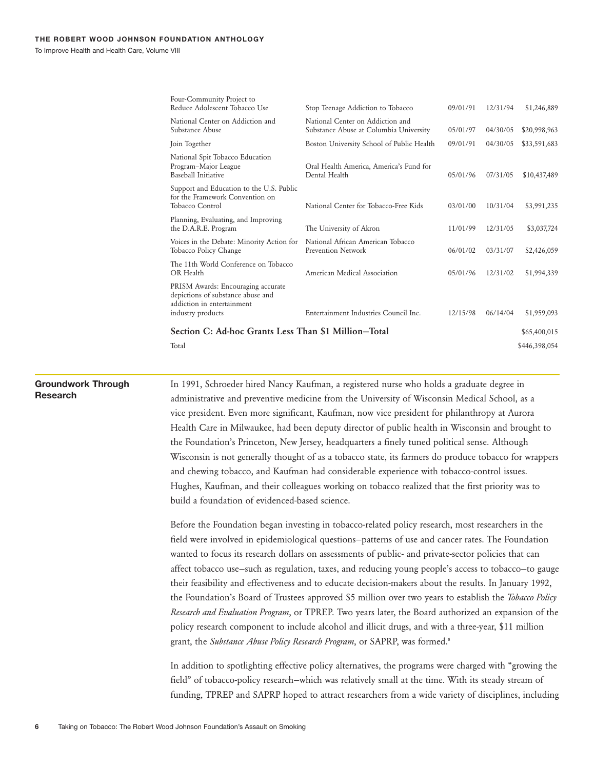| Four-Community Project to<br>Reduce Adolescent Tobacco Use                                            | Stop Teenage Addiction to Tobacco                                          | 09/01/91  | 12/31/94 | \$1,246,889   |
|-------------------------------------------------------------------------------------------------------|----------------------------------------------------------------------------|-----------|----------|---------------|
| National Center on Addiction and<br>Substance Abuse                                                   | National Center on Addiction and<br>Substance Abuse at Columbia University | 0.5/01/97 | 04/30/05 | \$20,998,963  |
| Join Together                                                                                         | Boston University School of Public Health                                  | 09/01/91  | 04/30/05 | \$33,591,683  |
| National Spit Tobacco Education<br>Program-Major League<br>Baseball Initiative                        | Oral Health America, America's Fund for<br>Dental Health                   | 05/01/96  | 07/31/05 | \$10,437,489  |
| Support and Education to the U.S. Public<br>for the Framework Convention on<br>Tobacco Control        | National Center for Tobacco-Free Kids                                      | 03/01/00  | 10/31/04 | \$3,991,235   |
| Planning, Evaluating, and Improving<br>the D.A.R.E. Program                                           | The University of Akron                                                    | 11/01/99  | 12/31/05 | \$3,037,724   |
| Voices in the Debate: Minority Action for<br>Tobacco Policy Change                                    | National African American Tobacco<br>Prevention Network                    | 06/01/02  | 03/31/07 | \$2,426,059   |
| The 11th World Conference on Tobacco<br>OR Health                                                     | American Medical Association                                               | 05/01/96  | 12/31/02 | \$1,994,339   |
| PRISM Awards: Encouraging accurate<br>depictions of substance abuse and<br>addiction in entertainment | Entertainment Industries Council Inc.                                      | 12/15/98  | 06/14/04 | \$1,959,093   |
| industry products                                                                                     |                                                                            |           |          |               |
|                                                                                                       | Section C: Ad-hoc Grants Less Than \$1 Million–Total<br>\$65,400,015       |           |          |               |
| Total                                                                                                 |                                                                            |           |          | \$446,398,054 |
|                                                                                                       |                                                                            |           |          |               |

#### **Groundwork Through Research**

In 1991, Schroeder hired Nancy Kaufman, a registered nurse who holds a graduate degree in administrative and preventive medicine from the University of Wisconsin Medical School, as a vice president. Even more significant, Kaufman, now vice president for philanthropy at Aurora Health Care in Milwaukee, had been deputy director of public health in Wisconsin and brought to the Foundation's Princeton, New Jersey, headquarters a finely tuned political sense. Although Wisconsin is not generally thought of as a tobacco state, its farmers do produce tobacco for wrappers and chewing tobacco, and Kaufman had considerable experience with tobacco-control issues. Hughes, Kaufman, and their colleagues working on tobacco realized that the first priority was to build a foundation of evidenced-based science.

Before the Foundation began investing in tobacco-related policy research, most researchers in the field were involved in epidemiological questions—patterns of use and cancer rates. The Foundation wanted to focus its research dollars on assessments of public- and private-sector policies that can affect tobacco use—such as regulation, taxes, and reducing young people's access to tobacco—to gauge their feasibility and effectiveness and to educate decision-makers about the results. In January 1992, the Foundation's Board of Trustees approved \$5 million over two years to establish the *Tobacco Policy Research and Evaluation Program*, or TPREP. Two years later, the Board authorized an expansion of the policy research component to include alcohol and illicit drugs, and with a three-year, \$11 million grant, the *Substance Abuse Policy Research Program*, or SAPRP, was formed.<sup>8</sup>

In addition to spotlighting effective policy alternatives, the programs were charged with "growing the field" of tobacco-policy research—which was relatively small at the time. With its steady stream of funding, TPREP and SAPRP hoped to attract researchers from a wide variety of disciplines, including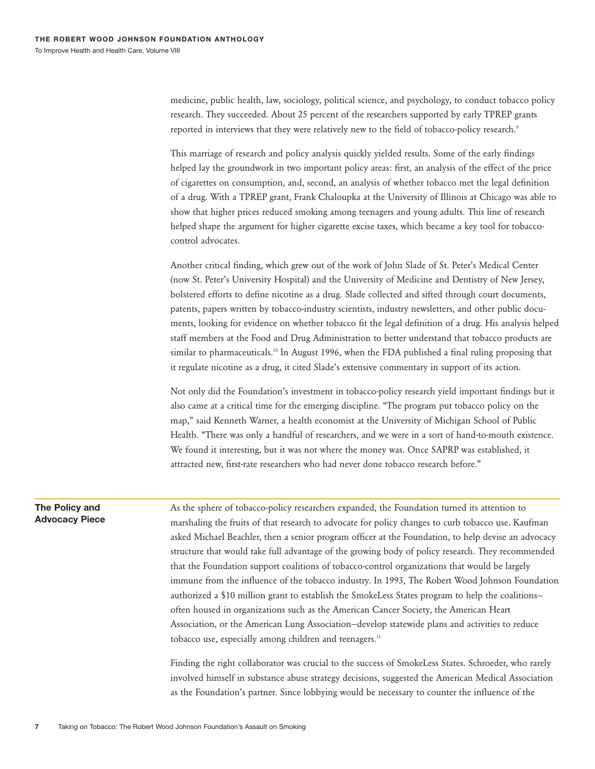medicine, public health, law, sociology, political science, and psychology, to conduct tobacco policy research. They succeeded. About 25 percent of the researchers supported by early TPREP grants reported in interviews that they were relatively new to the field of tobacco-policy research.<sup>9</sup>

This marriage of research and policy analysis quickly yielded results. Some of the early findings helped lay the groundwork in two important policy areas: first, an analysis of the effect of the price of cigarettes on consumption, and, second, an analysis of whether tobacco met the legal definition of a drug. With a TPREP grant, Frank Chaloupka at the University of Illinois at Chicago was able to show that higher prices reduced smoking among teenagers and young adults. This line of research helped shape the argument for higher cigarette excise taxes, which became a key tool for tobaccocontrol advocates.

Another critical finding, which grew out of the work of John Slade of St. Peter's Medical Center (now St. Peter's University Hospital) and the University of Medicine and Dentistry of New Jersey, bolstered efforts to define nicotine as a drug. Slade collected and sifted through court documents, patents, papers written by tobacco-industry scientists, industry newsletters, and other public documents, looking for evidence on whether tobacco fit the legal definition of a drug. His analysis helped staff members at the Food and Drug Administration to better understand that tobacco products are similar to pharmaceuticals.<sup>10</sup> In August 1996, when the FDA published a final ruling proposing that it regulate nicotine as a drug, it cited Slade's extensive commentary in support of its action.

Not only did the Foundation's investment in tobacco-policy research yield important findings but it also came at a critical time for the emerging discipline. "The program put tobacco policy on the map," said Kenneth Warner, a health economist at the University of Michigan School of Public Health. "There was only a handful of researchers, and we were in a sort of hand-to-mouth existence. We found it interesting, but it was not where the money was. Once SAPRP was established, it attracted new, first-rate researchers who had never done tobacco research before."

## **The Policy and Advocacy Piece**

As the sphere of tobacco-policy researchers expanded, the Foundation turned its attention to marshaling the fruits of that research to advocate for policy changes to curb tobacco use. Kaufman asked Michael Beachler, then a senior program officer at the Foundation, to help devise an advocacy structure that would take full advantage of the growing body of policy research. They recommended that the Foundation support coalitions of tobacco-control organizations that would be largely immune from the influence of the tobacco industry. In 1993, The Robert Wood Johnson Foundation authorized a \$10 million grant to establish the SmokeLess States program to help the coalitions often housed in organizations such as the American Cancer Society, the American Heart Association, or the American Lung Association—develop statewide plans and activities to reduce tobacco use, especially among children and teenagers.<sup>11</sup>

Finding the right collaborator was crucial to the success of SmokeLess States. Schroeder, who rarely involved himself in substance abuse strategy decisions, suggested the American Medical Association as the Foundation's partner. Since lobbying would be necessary to counter the influence of the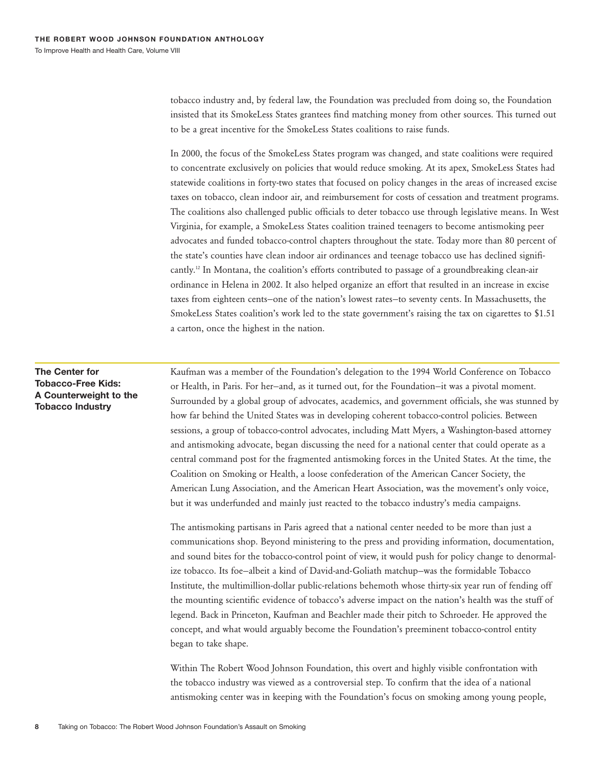tobacco industry and, by federal law, the Foundation was precluded from doing so, the Foundation insisted that its SmokeLess States grantees find matching money from other sources. This turned out to be a great incentive for the SmokeLess States coalitions to raise funds.

In 2000, the focus of the SmokeLess States program was changed, and state coalitions were required to concentrate exclusively on policies that would reduce smoking. At its apex, SmokeLess States had statewide coalitions in forty-two states that focused on policy changes in the areas of increased excise taxes on tobacco, clean indoor air, and reimbursement for costs of cessation and treatment programs. The coalitions also challenged public officials to deter tobacco use through legislative means. In West Virginia, for example, a SmokeLess States coalition trained teenagers to become antismoking peer advocates and funded tobacco-control chapters throughout the state. Today more than 80 percent of the state's counties have clean indoor air ordinances and teenage tobacco use has declined significantly.<sup>12</sup> In Montana, the coalition's efforts contributed to passage of a groundbreaking clean-air ordinance in Helena in 2002. It also helped organize an effort that resulted in an increase in excise taxes from eighteen cents—one of the nation's lowest rates—to seventy cents. In Massachusetts, the SmokeLess States coalition's work led to the state government's raising the tax on cigarettes to \$1.51 a carton, once the highest in the nation.

# **The Center for Tobacco-Free Kids: A Counterweight to the Tobacco Industry**

Kaufman was a member of the Foundation's delegation to the 1994 World Conference on Tobacco or Health, in Paris. For her—and, as it turned out, for the Foundation—it was a pivotal moment. Surrounded by a global group of advocates, academics, and government officials, she was stunned by how far behind the United States was in developing coherent tobacco-control policies. Between sessions, a group of tobacco-control advocates, including Matt Myers, a Washington-based attorney and antismoking advocate, began discussing the need for a national center that could operate as a central command post for the fragmented antismoking forces in the United States. At the time, the Coalition on Smoking or Health, a loose confederation of the American Cancer Society, the American Lung Association, and the American Heart Association, was the movement's only voice, but it was underfunded and mainly just reacted to the tobacco industry's media campaigns.

The antismoking partisans in Paris agreed that a national center needed to be more than just a communications shop. Beyond ministering to the press and providing information, documentation, and sound bites for the tobacco-control point of view, it would push for policy change to denormalize tobacco. Its foe—albeit a kind of David-and-Goliath matchup—was the formidable Tobacco Institute, the multimillion-dollar public-relations behemoth whose thirty-six year run of fending off the mounting scientific evidence of tobacco's adverse impact on the nation's health was the stuff of legend. Back in Princeton, Kaufman and Beachler made their pitch to Schroeder. He approved the concept, and what would arguably become the Foundation's preeminent tobacco-control entity began to take shape.

Within The Robert Wood Johnson Foundation, this overt and highly visible confrontation with the tobacco industry was viewed as a controversial step. To confirm that the idea of a national antismoking center was in keeping with the Foundation's focus on smoking among young people,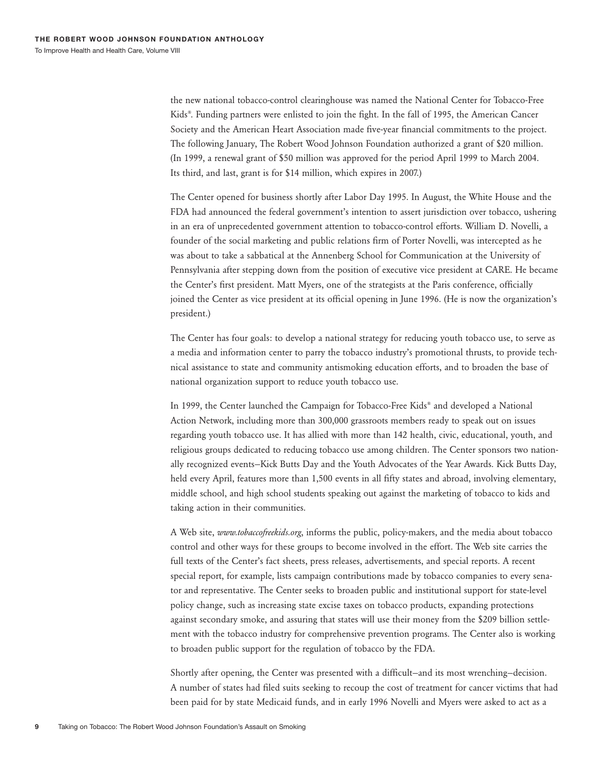the new national tobacco-control clearinghouse was named the National Center for Tobacco-Free Kids® . Funding partners were enlisted to join the fight. In the fall of 1995, the American Cancer Society and the American Heart Association made five-year financial commitments to the project. The following January, The Robert Wood Johnson Foundation authorized a grant of \$20 million. (In 1999, a renewal grant of \$50 million was approved for the period April 1999 to March 2004. Its third, and last, grant is for \$14 million, which expires in 2007.)

The Center opened for business shortly after Labor Day 1995. In August, the White House and the FDA had announced the federal government's intention to assert jurisdiction over tobacco, ushering in an era of unprecedented government attention to tobacco-control efforts. William D. Novelli, a founder of the social marketing and public relations firm of Porter Novelli, was intercepted as he was about to take a sabbatical at the Annenberg School for Communication at the University of Pennsylvania after stepping down from the position of executive vice president at CARE. He became the Center's first president. Matt Myers, one of the strategists at the Paris conference, officially joined the Center as vice president at its official opening in June 1996. (He is now the organization's president.)

The Center has four goals: to develop a national strategy for reducing youth tobacco use, to serve as a media and information center to parry the tobacco industry's promotional thrusts, to provide technical assistance to state and community antismoking education efforts, and to broaden the base of national organization support to reduce youth tobacco use.

In 1999, the Center launched the Campaign for Tobacco-Free Kids® and developed a National Action Network, including more than 300,000 grassroots members ready to speak out on issues regarding youth tobacco use. It has allied with more than 142 health, civic, educational, youth, and religious groups dedicated to reducing tobacco use among children. The Center sponsors two nationally recognized events—Kick Butts Day and the Youth Advocates of the Year Awards. Kick Butts Day, held every April, features more than 1,500 events in all fifty states and abroad, involving elementary, middle school, and high school students speaking out against the marketing of tobacco to kids and taking action in their communities.

A Web site, *www.tobaccofreekids.org*, informs the public, policy-makers, and the media about tobacco control and other ways for these groups to become involved in the effort. The Web site carries the full texts of the Center's fact sheets, press releases, advertisements, and special reports. A recent special report, for example, lists campaign contributions made by tobacco companies to every senator and representative. The Center seeks to broaden public and institutional support for state-level policy change, such as increasing state excise taxes on tobacco products, expanding protections against secondary smoke, and assuring that states will use their money from the \$209 billion settlement with the tobacco industry for comprehensive prevention programs. The Center also is working to broaden public support for the regulation of tobacco by the FDA.

Shortly after opening, the Center was presented with a difficult—and its most wrenching—decision. A number of states had filed suits seeking to recoup the cost of treatment for cancer victims that had been paid for by state Medicaid funds, and in early 1996 Novelli and Myers were asked to act as a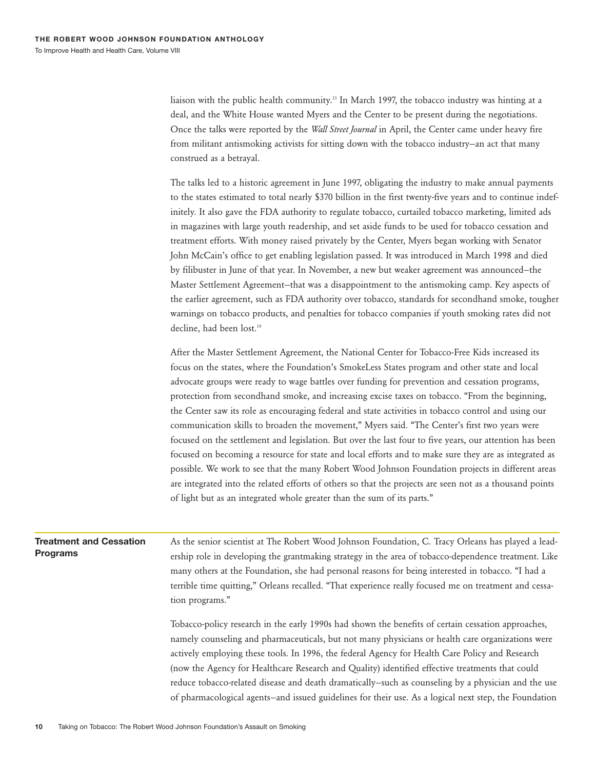liaison with the public health community.<sup>13</sup> In March 1997, the tobacco industry was hinting at a deal, and the White House wanted Myers and the Center to be present during the negotiations. Once the talks were reported by the *Wall Street Journal* in April, the Center came under heavy fire from militant antismoking activists for sitting down with the tobacco industry—an act that many construed as a betrayal.

The talks led to a historic agreement in June 1997, obligating the industry to make annual payments to the states estimated to total nearly \$370 billion in the first twenty-five years and to continue indefinitely. It also gave the FDA authority to regulate tobacco, curtailed tobacco marketing, limited ads in magazines with large youth readership, and set aside funds to be used for tobacco cessation and treatment efforts. With money raised privately by the Center, Myers began working with Senator John McCain's office to get enabling legislation passed. It was introduced in March 1998 and died by filibuster in June of that year. In November, a new but weaker agreement was announced—the Master Settlement Agreement—that was a disappointment to the antismoking camp. Key aspects of the earlier agreement, such as FDA authority over tobacco, standards for secondhand smoke, tougher warnings on tobacco products, and penalties for tobacco companies if youth smoking rates did not decline, had been lost.<sup>14</sup>

After the Master Settlement Agreement, the National Center for Tobacco-Free Kids increased its focus on the states, where the Foundation's SmokeLess States program and other state and local advocate groups were ready to wage battles over funding for prevention and cessation programs, protection from secondhand smoke, and increasing excise taxes on tobacco. "From the beginning, the Center saw its role as encouraging federal and state activities in tobacco control and using our communication skills to broaden the movement," Myers said. "The Center's first two years were focused on the settlement and legislation. But over the last four to five years, our attention has been focused on becoming a resource for state and local efforts and to make sure they are as integrated as possible. We work to see that the many Robert Wood Johnson Foundation projects in different areas are integrated into the related efforts of others so that the projects are seen not as a thousand points of light but as an integrated whole greater than the sum of its parts."

| <b>Treatment and Cessation</b> | As the senior scientist at The Robert Wood Johnson Foundation, C. Tracy Orleans has played a lead-                                                                                                                                                                                                                                             |
|--------------------------------|------------------------------------------------------------------------------------------------------------------------------------------------------------------------------------------------------------------------------------------------------------------------------------------------------------------------------------------------|
| <b>Programs</b>                | ership role in developing the grantmaking strategy in the area of tobacco-dependence treatment. Like                                                                                                                                                                                                                                           |
|                                | many others at the Foundation, she had personal reasons for being interested in tobacco. "I had a                                                                                                                                                                                                                                              |
|                                | terrible time quitting," Orleans recalled. "That experience really focused me on treatment and cessa-                                                                                                                                                                                                                                          |
|                                | tion programs."                                                                                                                                                                                                                                                                                                                                |
|                                | $1 \cdot 1$ $1 \cdot 1$ $1 \cdot 1$ $1 \cdot 1$ $1 \cdot 1$ $1 \cdot 1$ $1 \cdot 1$ $1 \cdot 1$ $1 \cdot 1$ $1 \cdot 1$ $1 \cdot 1$ $1 \cdot 1$ $1 \cdot 1$ $1 \cdot 1$ $1 \cdot 1$ $1 \cdot 1$ $1 \cdot 1$ $1 \cdot 1$ $1 \cdot 1$ $1 \cdot 1$ $1 \cdot 1$ $1 \cdot 1$ $1 \cdot 1$ $1 \cdot 1$ $1 \cdot 1$ $1 \cdot 1$ $1 \cdot 1$ $1 \cdot $ |

Tobacco-policy research in the early 1990s had shown the benefits of certain cessation approaches, namely counseling and pharmaceuticals, but not many physicians or health care organizations were actively employing these tools. In 1996, the federal Agency for Health Care Policy and Research (now the Agency for Healthcare Research and Quality) identified effective treatments that could reduce tobacco-related disease and death dramatically—such as counseling by a physician and the use of pharmacological agents—and issued guidelines for their use. As a logical next step, the Foundation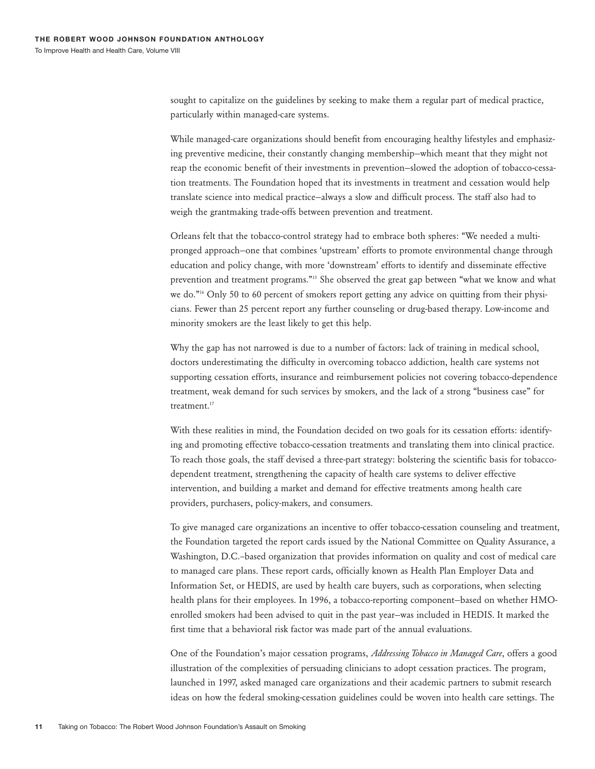sought to capitalize on the guidelines by seeking to make them a regular part of medical practice, particularly within managed-care systems.

While managed-care organizations should benefit from encouraging healthy lifestyles and emphasizing preventive medicine, their constantly changing membership—which meant that they might not reap the economic benefit of their investments in prevention—slowed the adoption of tobacco-cessation treatments. The Foundation hoped that its investments in treatment and cessation would help translate science into medical practice—always a slow and difficult process. The staff also had to weigh the grantmaking trade-offs between prevention and treatment.

Orleans felt that the tobacco-control strategy had to embrace both spheres: "We needed a multipronged approach—one that combines 'upstream' efforts to promote environmental change through education and policy change, with more 'downstream' efforts to identify and disseminate effective prevention and treatment programs."15 She observed the great gap between "what we know and what we do."<sup>16</sup> Only 50 to 60 percent of smokers report getting any advice on quitting from their physicians. Fewer than 25 percent report any further counseling or drug-based therapy. Low-income and minority smokers are the least likely to get this help.

Why the gap has not narrowed is due to a number of factors: lack of training in medical school, doctors underestimating the difficulty in overcoming tobacco addiction, health care systems not supporting cessation efforts, insurance and reimbursement policies not covering tobacco-dependence treatment, weak demand for such services by smokers, and the lack of a strong "business case" for treatment.<sup>17</sup>

With these realities in mind, the Foundation decided on two goals for its cessation efforts: identifying and promoting effective tobacco-cessation treatments and translating them into clinical practice. To reach those goals, the staff devised a three-part strategy: bolstering the scientific basis for tobaccodependent treatment, strengthening the capacity of health care systems to deliver effective intervention, and building a market and demand for effective treatments among health care providers, purchasers, policy-makers, and consumers.

To give managed care organizations an incentive to offer tobacco-cessation counseling and treatment, the Foundation targeted the report cards issued by the National Committee on Quality Assurance, a Washington, D.C.–based organization that provides information on quality and cost of medical care to managed care plans. These report cards, officially known as Health Plan Employer Data and Information Set, or HEDIS, are used by health care buyers, such as corporations, when selecting health plans for their employees. In 1996, a tobacco-reporting component—based on whether HMOenrolled smokers had been advised to quit in the past year—was included in HEDIS. It marked the first time that a behavioral risk factor was made part of the annual evaluations.

One of the Foundation's major cessation programs, *Addressing Tobacco in Managed Care*, offers a good illustration of the complexities of persuading clinicians to adopt cessation practices. The program, launched in 1997, asked managed care organizations and their academic partners to submit research ideas on how the federal smoking-cessation guidelines could be woven into health care settings. The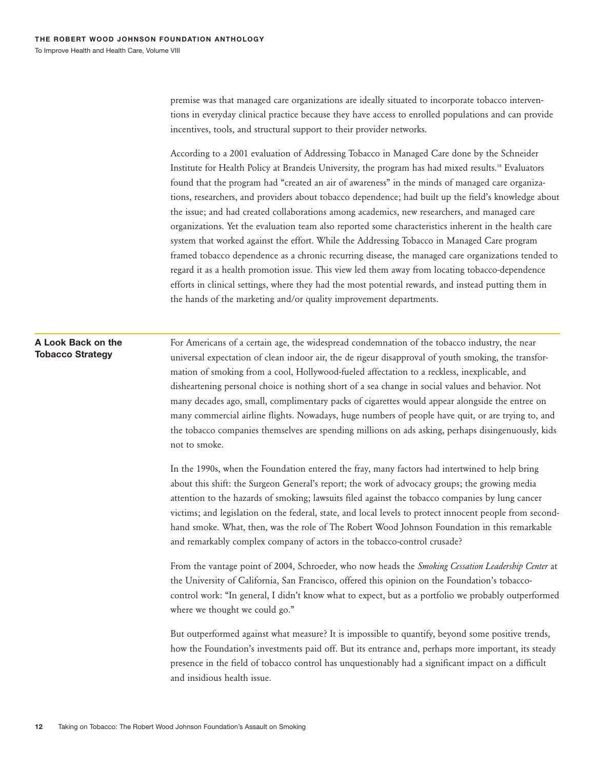premise was that managed care organizations are ideally situated to incorporate tobacco interventions in everyday clinical practice because they have access to enrolled populations and can provide incentives, tools, and structural support to their provider networks.

According to a 2001 evaluation of Addressing Tobacco in Managed Care done by the Schneider Institute for Health Policy at Brandeis University, the program has had mixed results.18 Evaluators found that the program had "created an air of awareness" in the minds of managed care organizations, researchers, and providers about tobacco dependence; had built up the field's knowledge about the issue; and had created collaborations among academics, new researchers, and managed care organizations. Yet the evaluation team also reported some characteristics inherent in the health care system that worked against the effort. While the Addressing Tobacco in Managed Care program framed tobacco dependence as a chronic recurring disease, the managed care organizations tended to regard it as a health promotion issue. This view led them away from locating tobacco-dependence efforts in clinical settings, where they had the most potential rewards, and instead putting them in the hands of the marketing and/or quality improvement departments.

# For Americans of a certain age, the widespread condemnation of the tobacco industry, the near universal expectation of clean indoor air, the de rigeur disapproval of youth smoking, the transformation of smoking from a cool, Hollywood-fueled affectation to a reckless, inexplicable, and disheartening personal choice is nothing short of a sea change in social values and behavior. Not many decades ago, small, complimentary packs of cigarettes would appear alongside the entree on many commercial airline flights. Nowadays, huge numbers of people have quit, or are trying to, and the tobacco companies themselves are spending millions on ads asking, perhaps disingenuously, kids not to smoke. **A Look Back on the Tobacco Strategy**

In the 1990s, when the Foundation entered the fray, many factors had intertwined to help bring about this shift: the Surgeon General's report; the work of advocacy groups; the growing media attention to the hazards of smoking; lawsuits filed against the tobacco companies by lung cancer victims; and legislation on the federal, state, and local levels to protect innocent people from secondhand smoke. What, then, was the role of The Robert Wood Johnson Foundation in this remarkable and remarkably complex company of actors in the tobacco-control crusade?

From the vantage point of 2004, Schroeder, who now heads the *Smoking Cessation Leadership Center* at the University of California, San Francisco, offered this opinion on the Foundation's tobaccocontrol work: "In general, I didn't know what to expect, but as a portfolio we probably outperformed where we thought we could go."

But outperformed against what measure? It is impossible to quantify, beyond some positive trends, how the Foundation's investments paid off. But its entrance and, perhaps more important, its steady presence in the field of tobacco control has unquestionably had a significant impact on a difficult and insidious health issue.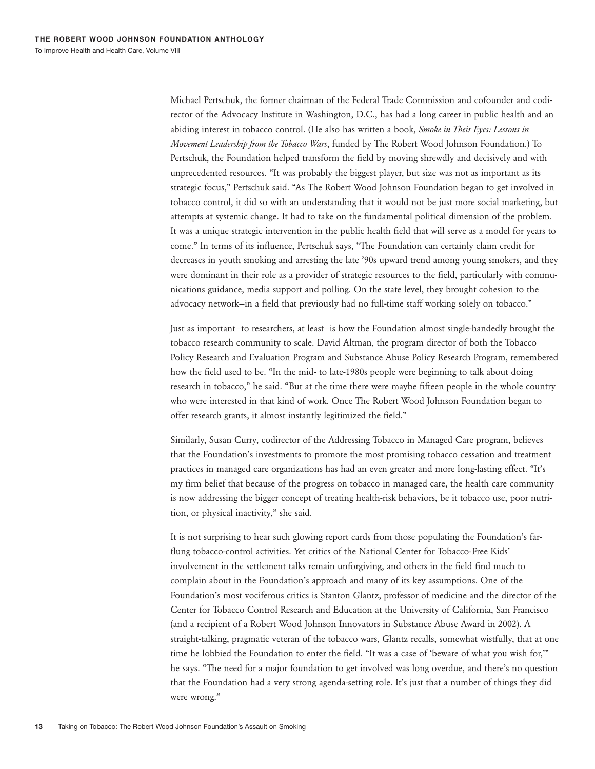Michael Pertschuk, the former chairman of the Federal Trade Commission and cofounder and codirector of the Advocacy Institute in Washington, D.C., has had a long career in public health and an abiding interest in tobacco control. (He also has written a book, *Smoke in Their Eyes: Lessons in Movement Leadership from the Tobacco Wars*, funded by The Robert Wood Johnson Foundation.) To Pertschuk, the Foundation helped transform the field by moving shrewdly and decisively and with unprecedented resources. "It was probably the biggest player, but size was not as important as its strategic focus," Pertschuk said. "As The Robert Wood Johnson Foundation began to get involved in tobacco control, it did so with an understanding that it would not be just more social marketing, but attempts at systemic change. It had to take on the fundamental political dimension of the problem. It was a unique strategic intervention in the public health field that will serve as a model for years to come." In terms of its influence, Pertschuk says, "The Foundation can certainly claim credit for decreases in youth smoking and arresting the late '90s upward trend among young smokers, and they were dominant in their role as a provider of strategic resources to the field, particularly with communications guidance, media support and polling. On the state level, they brought cohesion to the advocacy network—in a field that previously had no full-time staff working solely on tobacco."

Just as important—to researchers, at least—is how the Foundation almost single-handedly brought the tobacco research community to scale. David Altman, the program director of both the Tobacco Policy Research and Evaluation Program and Substance Abuse Policy Research Program, remembered how the field used to be. "In the mid- to late-1980s people were beginning to talk about doing research in tobacco," he said. "But at the time there were maybe fifteen people in the whole country who were interested in that kind of work. Once The Robert Wood Johnson Foundation began to offer research grants, it almost instantly legitimized the field."

Similarly, Susan Curry, codirector of the Addressing Tobacco in Managed Care program, believes that the Foundation's investments to promote the most promising tobacco cessation and treatment practices in managed care organizations has had an even greater and more long-lasting effect. "It's my firm belief that because of the progress on tobacco in managed care, the health care community is now addressing the bigger concept of treating health-risk behaviors, be it tobacco use, poor nutrition, or physical inactivity," she said.

It is not surprising to hear such glowing report cards from those populating the Foundation's farflung tobacco-control activities. Yet critics of the National Center for Tobacco-Free Kids' involvement in the settlement talks remain unforgiving, and others in the field find much to complain about in the Foundation's approach and many of its key assumptions. One of the Foundation's most vociferous critics is Stanton Glantz, professor of medicine and the director of the Center for Tobacco Control Research and Education at the University of California, San Francisco (and a recipient of a Robert Wood Johnson Innovators in Substance Abuse Award in 2002). A straight-talking, pragmatic veteran of the tobacco wars, Glantz recalls, somewhat wistfully, that at one time he lobbied the Foundation to enter the field. "It was a case of 'beware of what you wish for,'" he says. "The need for a major foundation to get involved was long overdue, and there's no question that the Foundation had a very strong agenda-setting role. It's just that a number of things they did were wrong."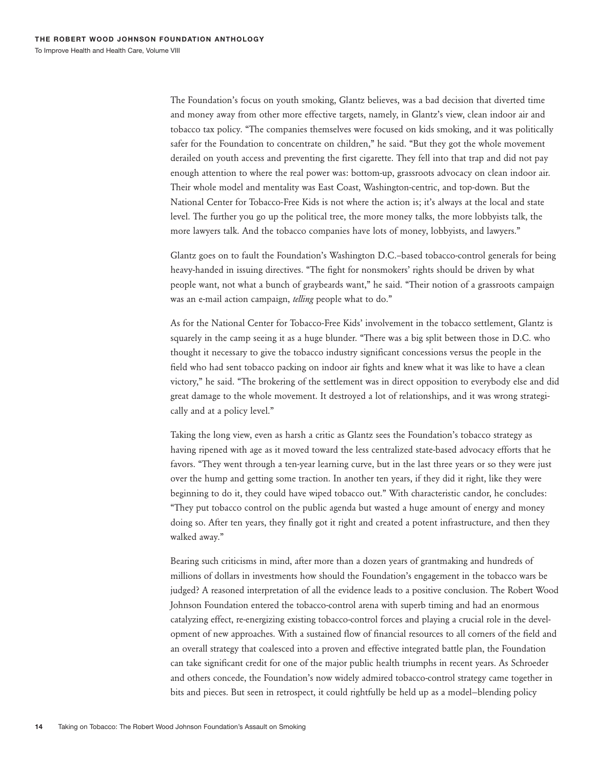The Foundation's focus on youth smoking, Glantz believes, was a bad decision that diverted time and money away from other more effective targets, namely, in Glantz's view, clean indoor air and tobacco tax policy. "The companies themselves were focused on kids smoking, and it was politically safer for the Foundation to concentrate on children," he said. "But they got the whole movement derailed on youth access and preventing the first cigarette. They fell into that trap and did not pay enough attention to where the real power was: bottom-up, grassroots advocacy on clean indoor air. Their whole model and mentality was East Coast, Washington-centric, and top-down. But the National Center for Tobacco-Free Kids is not where the action is; it's always at the local and state level. The further you go up the political tree, the more money talks, the more lobbyists talk, the more lawyers talk. And the tobacco companies have lots of money, lobbyists, and lawyers."

Glantz goes on to fault the Foundation's Washington D.C.–based tobacco-control generals for being heavy-handed in issuing directives. "The fight for nonsmokers' rights should be driven by what people want, not what a bunch of graybeards want," he said. "Their notion of a grassroots campaign was an e-mail action campaign, *telling* people what to do."

As for the National Center for Tobacco-Free Kids' involvement in the tobacco settlement, Glantz is squarely in the camp seeing it as a huge blunder. "There was a big split between those in D.C. who thought it necessary to give the tobacco industry significant concessions versus the people in the field who had sent tobacco packing on indoor air fights and knew what it was like to have a clean victory," he said. "The brokering of the settlement was in direct opposition to everybody else and did great damage to the whole movement. It destroyed a lot of relationships, and it was wrong strategically and at a policy level."

Taking the long view, even as harsh a critic as Glantz sees the Foundation's tobacco strategy as having ripened with age as it moved toward the less centralized state-based advocacy efforts that he favors. "They went through a ten-year learning curve, but in the last three years or so they were just over the hump and getting some traction. In another ten years, if they did it right, like they were beginning to do it, they could have wiped tobacco out." With characteristic candor, he concludes: "They put tobacco control on the public agenda but wasted a huge amount of energy and money doing so. After ten years, they finally got it right and created a potent infrastructure, and then they walked away."

Bearing such criticisms in mind, after more than a dozen years of grantmaking and hundreds of millions of dollars in investments how should the Foundation's engagement in the tobacco wars be judged? A reasoned interpretation of all the evidence leads to a positive conclusion. The Robert Wood Johnson Foundation entered the tobacco-control arena with superb timing and had an enormous catalyzing effect, re-energizing existing tobacco-control forces and playing a crucial role in the development of new approaches. With a sustained flow of financial resources to all corners of the field and an overall strategy that coalesced into a proven and effective integrated battle plan, the Foundation can take significant credit for one of the major public health triumphs in recent years. As Schroeder and others concede, the Foundation's now widely admired tobacco-control strategy came together in bits and pieces. But seen in retrospect, it could rightfully be held up as a model—blending policy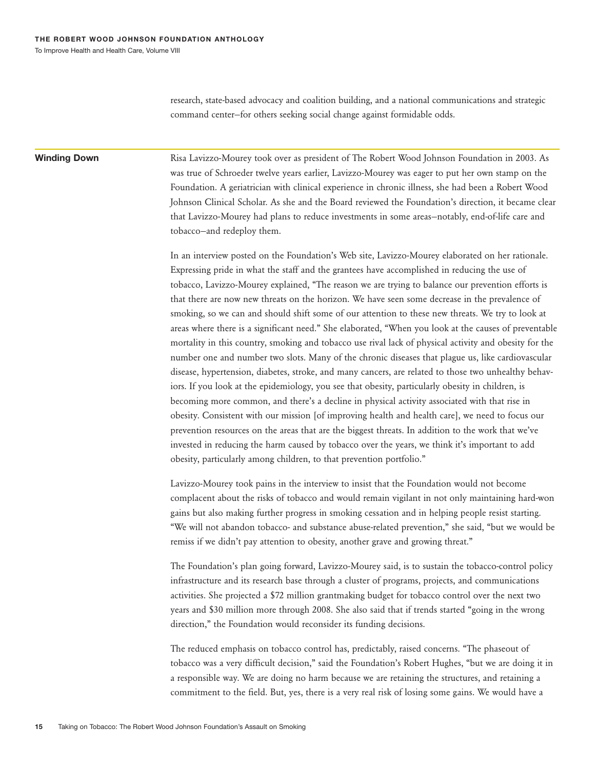research, state-based advocacy and coalition building, and a national communications and strategic command center—for others seeking social change against formidable odds.

#### **Winding Down**

Risa Lavizzo-Mourey took over as president of The Robert Wood Johnson Foundation in 2003. As was true of Schroeder twelve years earlier, Lavizzo-Mourey was eager to put her own stamp on the Foundation. A geriatrician with clinical experience in chronic illness, she had been a Robert Wood Johnson Clinical Scholar. As she and the Board reviewed the Foundation's direction, it became clear that Lavizzo-Mourey had plans to reduce investments in some areas—notably, end-of-life care and tobacco—and redeploy them.

In an interview posted on the Foundation's Web site, Lavizzo-Mourey elaborated on her rationale. Expressing pride in what the staff and the grantees have accomplished in reducing the use of tobacco, Lavizzo-Mourey explained, "The reason we are trying to balance our prevention efforts is that there are now new threats on the horizon. We have seen some decrease in the prevalence of smoking, so we can and should shift some of our attention to these new threats. We try to look at areas where there is a significant need." She elaborated, "When you look at the causes of preventable mortality in this country, smoking and tobacco use rival lack of physical activity and obesity for the number one and number two slots. Many of the chronic diseases that plague us, like cardiovascular disease, hypertension, diabetes, stroke, and many cancers, are related to those two unhealthy behaviors. If you look at the epidemiology, you see that obesity, particularly obesity in children, is becoming more common, and there's a decline in physical activity associated with that rise in obesity. Consistent with our mission [of improving health and health care], we need to focus our prevention resources on the areas that are the biggest threats. In addition to the work that we've invested in reducing the harm caused by tobacco over the years, we think it's important to add obesity, particularly among children, to that prevention portfolio."

Lavizzo-Mourey took pains in the interview to insist that the Foundation would not become complacent about the risks of tobacco and would remain vigilant in not only maintaining hard-won gains but also making further progress in smoking cessation and in helping people resist starting. "We will not abandon tobacco- and substance abuse-related prevention," she said, "but we would be remiss if we didn't pay attention to obesity, another grave and growing threat."

The Foundation's plan going forward, Lavizzo-Mourey said, is to sustain the tobacco-control policy infrastructure and its research base through a cluster of programs, projects, and communications activities. She projected a \$72 million grantmaking budget for tobacco control over the next two years and \$30 million more through 2008. She also said that if trends started "going in the wrong direction," the Foundation would reconsider its funding decisions.

The reduced emphasis on tobacco control has, predictably, raised concerns. "The phaseout of tobacco was a very difficult decision," said the Foundation's Robert Hughes, "but we are doing it in a responsible way. We are doing no harm because we are retaining the structures, and retaining a commitment to the field. But, yes, there is a very real risk of losing some gains. We would have a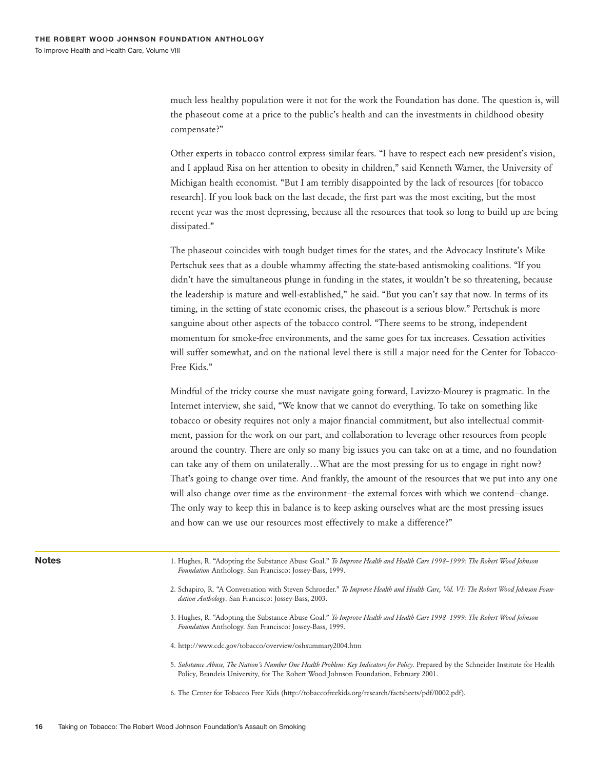much less healthy population were it not for the work the Foundation has done. The question is, will the phaseout come at a price to the public's health and can the investments in childhood obesity compensate?"

Other experts in tobacco control express similar fears. "I have to respect each new president's vision, and I applaud Risa on her attention to obesity in children," said Kenneth Warner, the University of Michigan health economist. "But I am terribly disappointed by the lack of resources [for tobacco research]. If you look back on the last decade, the first part was the most exciting, but the most recent year was the most depressing, because all the resources that took so long to build up are being dissipated."

The phaseout coincides with tough budget times for the states, and the Advocacy Institute's Mike Pertschuk sees that as a double whammy affecting the state-based antismoking coalitions. "If you didn't have the simultaneous plunge in funding in the states, it wouldn't be so threatening, because the leadership is mature and well-established," he said. "But you can't say that now. In terms of its timing, in the setting of state economic crises, the phaseout is a serious blow." Pertschuk is more sanguine about other aspects of the tobacco control. "There seems to be strong, independent momentum for smoke-free environments, and the same goes for tax increases. Cessation activities will suffer somewhat, and on the national level there is still a major need for the Center for Tobacco-Free Kids."

Mindful of the tricky course she must navigate going forward, Lavizzo-Mourey is pragmatic. In the Internet interview, she said, "We know that we cannot do everything. To take on something like tobacco or obesity requires not only a major financial commitment, but also intellectual commitment, passion for the work on our part, and collaboration to leverage other resources from people around the country. There are only so many big issues you can take on at a time, and no foundation can take any of them on unilaterally…What are the most pressing for us to engage in right now? That's going to change over time. And frankly, the amount of the resources that we put into any one will also change over time as the environment—the external forces with which we contend—change. The only way to keep this in balance is to keep asking ourselves what are the most pressing issues and how can we use our resources most effectively to make a difference?"

**Notes**

1. Hughes, R. "Adopting the Substance Abuse Goal." *To Improve Health and Health Care 1998–1999: The Robert Wood Johnson Foundation* Anthology. San Francisco: Jossey-Bass, 1999.

2. Schapiro, R. "A Conversation with Steven Schroeder." *To Improve Health and Health Care, Vol. VI: The Robert Wood Johnson Foundation Anthology*. San Francisco: Jossey-Bass, 2003.

3. Hughes, R. "Adopting the Substance Abuse Goal." *To Improve Health and Health Care 1998–1999: The Robert Wood Johnson Foundation* Anthology. San Francisco: Jossey-Bass, 1999.

4. http://www.cdc.gov/tobacco/overview/oshsummary2004.htm

5. *Substance Abuse, The Nation's Number One Health Problem: Key Indicators for Policy*. Prepared by the Schneider Institute for Health Policy, Brandeis University, for The Robert Wood Johnson Foundation, February 2001.

6. The Center for Tobacco Free Kids (http://tobaccofreekids.org/research/factsheets/pdf/0002.pdf).